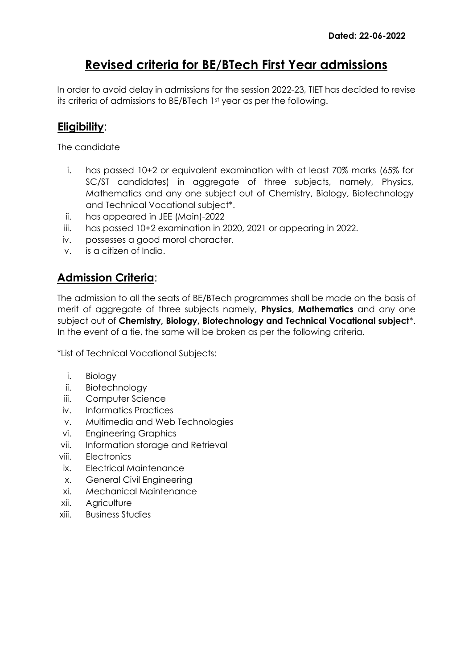# **Revised criteria for BE/BTech First Year admissions**

In order to avoid delay in admissions for the session 2022-23, TIET has decided to revise its criteria of admissions to BE/BTech 1st year as per the following.

## **Eligibility**:

The candidate

- i. has passed 10+2 or equivalent examination with at least 70% marks (65% for SC/ST candidates) in aggregate of three subjects, namely, Physics, Mathematics and any one subject out of Chemistry, Biology, Biotechnology and Technical Vocational subject\*.
- ii. has appeared in JEE (Main)-2022
- iii. has passed 10+2 examination in 2020, 2021 or appearing in 2022.
- iv. possesses a good moral character.
- v. is a citizen of India.

## **Admission Criteria**:

The admission to all the seats of BE/BTech programmes shall be made on the basis of merit of aggregate of three subjects namely, **Physics**, **Mathematics** and any one subject out of **Chemistry, Biology, Biotechnology and Technical Vocational subject**\*. In the event of a tie, the same will be broken as per the following criteria.

\*List of Technical Vocational Subjects:

- i. Biology
- ii. Biotechnology
- iii. Computer Science
- iv. Informatics Practices
- v. Multimedia and Web Technologies
- vi. Engineering Graphics
- vii. Information storage and Retrieval
- viii. Electronics
- ix. Electrical Maintenance
- x. General Civil Engineering
- xi. Mechanical Maintenance
- xii. Agriculture
- xiii. Business Studies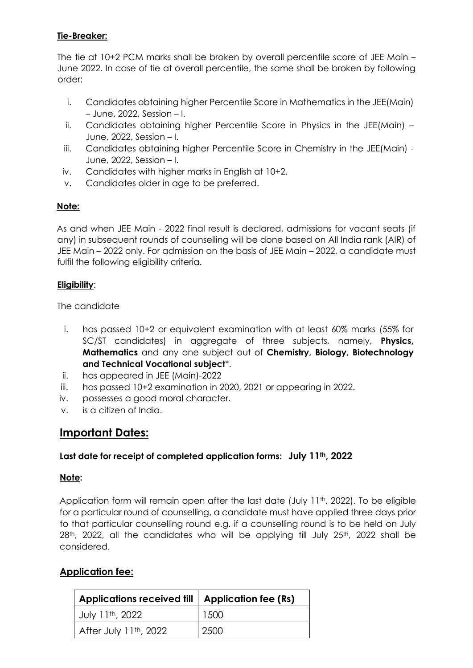#### **Tie-Breaker:**

The tie at 10+2 PCM marks shall be broken by overall percentile score of JEE Main – June 2022. In case of tie at overall percentile, the same shall be broken by following order:

- i. Candidates obtaining higher Percentile Score in Mathematics in the JEE(Main) – June, 2022, Session – I.
- ii. Candidates obtaining higher Percentile Score in Physics in the JEE(Main) June, 2022, Session – I.
- iii. Candidates obtaining higher Percentile Score in Chemistry in the JEE(Main) June, 2022, Session – I.
- iv. Candidates with higher marks in English at 10+2.
- v. Candidates older in age to be preferred.

## **Note:**

As and when JEE Main - 2022 final result is declared, admissions for vacant seats (if any) in subsequent rounds of counselling will be done based on All India rank (AIR) of JEE Main – 2022 only. For admission on the basis of JEE Main – 2022, a candidate must fulfil the following eligibility criteria.

#### **Eligibility**:

The candidate

- i. has passed 10+2 or equivalent examination with at least 60% marks (55% for SC/ST candidates) in aggregate of three subjects, namely, **Physics, Mathematics** and any one subject out of **Chemistry, Biology, Biotechnology and Technical Vocational subject**\*.
- ii. has appeared in JEE (Main)-2022
- iii. has passed 10+2 examination in 2020, 2021 or appearing in 2022.
- iv. possesses a good moral character.
- v. is a citizen of India.

## **Important Dates:**

#### **Last date for receipt of completed application forms: July 11th, 2022**

#### **Note:**

Application form will remain open after the last date (July  $11<sup>th</sup>$ , 2022). To be eligible for a particular round of counselling, a candidate must have applied three days prior to that particular counselling round e.g. if a counselling round is to be held on July 28<sup>th</sup>, 2022, all the candidates who will be applying till July 25<sup>th</sup>, 2022 shall be considered.

#### **Application fee:**

| Applications received till   Application fee (Rs) |      |
|---------------------------------------------------|------|
| July 11 <sup>th</sup> , 2022                      | 1500 |
| After July 11 <sup>th</sup> , 2022                | 2500 |